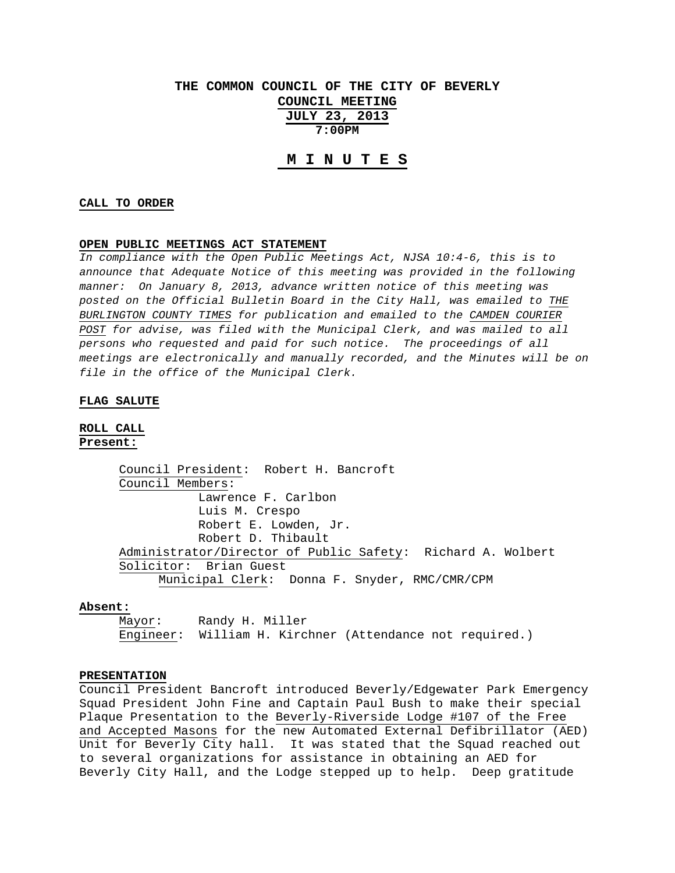# **THE COMMON COUNCIL OF THE CITY OF BEVERLY**

**COUNCIL MEETING**

**JULY 23, 2013 7:00PM** 

# **M I N U T E S**

#### **CALL TO ORDER**

#### **OPEN PUBLIC MEETINGS ACT STATEMENT**

*In compliance with the Open Public Meetings Act, NJSA 10:4-6, this is to announce that Adequate Notice of this meeting was provided in the following manner: On January 8, 2013, advance written notice of this meeting was posted on the Official Bulletin Board in the City Hall, was emailed to THE BURLINGTON COUNTY TIMES for publication and emailed to the CAMDEN COURIER POST for advise, was filed with the Municipal Clerk, and was mailed to all persons who requested and paid for such notice. The proceedings of all meetings are electronically and manually recorded, and the Minutes will be on file in the office of the Municipal Clerk.* 

### **FLAG SALUTE**

# **ROLL CALL Present:**

 Council President: Robert H. Bancroft Council Members: Lawrence F. Carlbon Luis M. Crespo Robert E. Lowden, Jr. Robert D. Thibault Administrator/Director of Public Safety: Richard A. Wolbert Solicitor: Brian Guest Municipal Clerk: Donna F. Snyder, RMC/CMR/CPM

#### **Absent:**

Mayor: Randy H. Miller Engineer: William H. Kirchner (Attendance not required.)

# **PRESENTATION**

Council President Bancroft introduced Beverly/Edgewater Park Emergency Squad President John Fine and Captain Paul Bush to make their special Plaque Presentation to the Beverly-Riverside Lodge #107 of the Free and Accepted Masons for the new Automated External Defibrillator (AED) Unit for Beverly City hall. It was stated that the Squad reached out to several organizations for assistance in obtaining an AED for Beverly City Hall, and the Lodge stepped up to help. Deep gratitude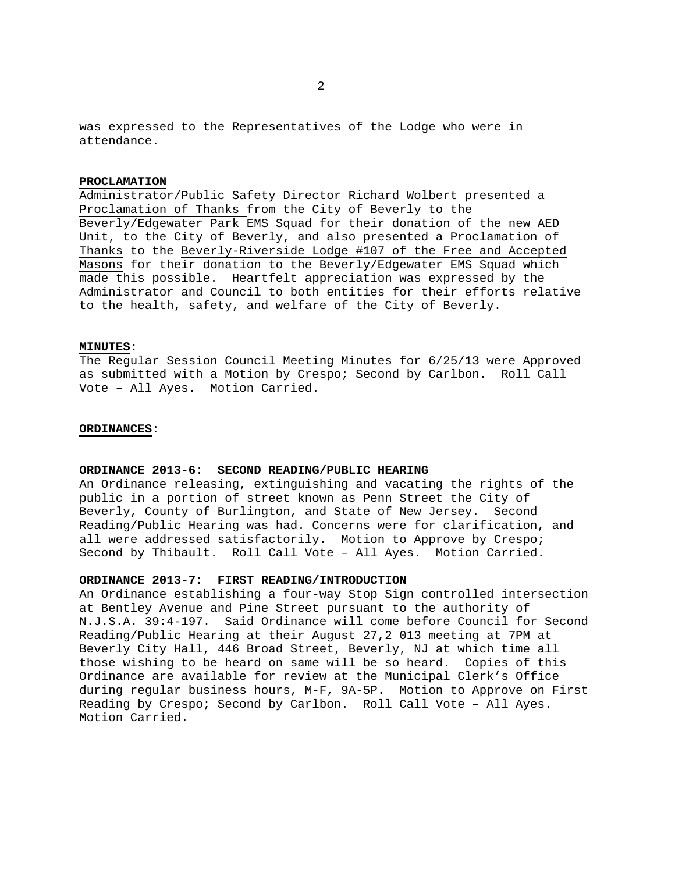was expressed to the Representatives of the Lodge who were in attendance.

# **PROCLAMATION**

Administrator/Public Safety Director Richard Wolbert presented a Proclamation of Thanks from the City of Beverly to the Beverly/Edgewater Park EMS Squad for their donation of the new AED Unit, to the City of Beverly, and also presented a Proclamation of Thanks to the Beverly-Riverside Lodge #107 of the Free and Accepted Masons for their donation to the Beverly/Edgewater EMS Squad which made this possible. Heartfelt appreciation was expressed by the Administrator and Council to both entities for their efforts relative to the health, safety, and welfare of the City of Beverly.

### **MINUTES**:

The Regular Session Council Meeting Minutes for 6/25/13 were Approved as submitted with a Motion by Crespo; Second by Carlbon. Roll Call Vote – All Ayes. Motion Carried.

#### **ORDINANCES**:

# **ORDINANCE 2013-6**: **SECOND READING/PUBLIC HEARING**

An Ordinance releasing, extinguishing and vacating the rights of the public in a portion of street known as Penn Street the City of Beverly, County of Burlington, and State of New Jersey. Second Reading/Public Hearing was had. Concerns were for clarification, and all were addressed satisfactorily. Motion to Approve by Crespo; Second by Thibault. Roll Call Vote – All Ayes. Motion Carried.

# **ORDINANCE 2013-7: FIRST READING/INTRODUCTION**

An Ordinance establishing a four-way Stop Sign controlled intersection at Bentley Avenue and Pine Street pursuant to the authority of N.J.S.A. 39:4-197. Said Ordinance will come before Council for Second Reading/Public Hearing at their August 27,2 013 meeting at 7PM at Beverly City Hall, 446 Broad Street, Beverly, NJ at which time all those wishing to be heard on same will be so heard. Copies of this Ordinance are available for review at the Municipal Clerk's Office during regular business hours, M-F, 9A-5P. Motion to Approve on First Reading by Crespo; Second by Carlbon. Roll Call Vote – All Ayes. Motion Carried.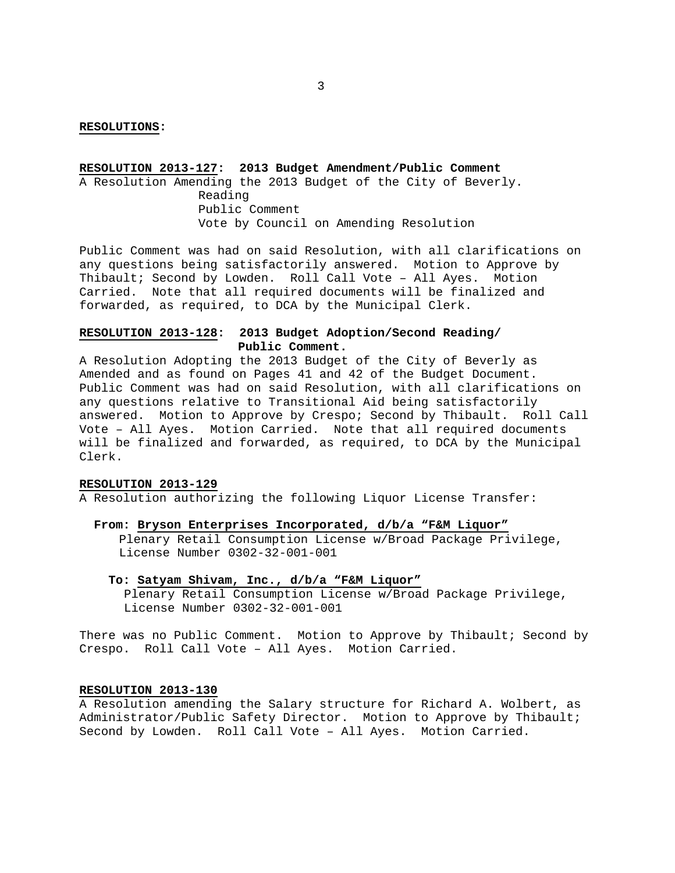#### **RESOLUTIONS:**

# **RESOLUTION 2013-127: 2013 Budget Amendment/Public Comment**

A Resolution Amending the 2013 Budget of the City of Beverly. Reading Public Comment Vote by Council on Amending Resolution

Public Comment was had on said Resolution, with all clarifications on any questions being satisfactorily answered. Motion to Approve by Thibault; Second by Lowden. Roll Call Vote – All Ayes. Motion Carried. Note that all required documents will be finalized and forwarded, as required, to DCA by the Municipal Clerk.

# **RESOLUTION 2013-128: 2013 Budget Adoption/Second Reading/ Public Comment.**

A Resolution Adopting the 2013 Budget of the City of Beverly as Amended and as found on Pages 41 and 42 of the Budget Document. Public Comment was had on said Resolution, with all clarifications on any questions relative to Transitional Aid being satisfactorily answered. Motion to Approve by Crespo; Second by Thibault. Roll Call Vote – All Ayes. Motion Carried. Note that all required documents will be finalized and forwarded, as required, to DCA by the Municipal Clerk.

# **RESOLUTION 2013-129**

A Resolution authorizing the following Liquor License Transfer:

#### **From: Bryson Enterprises Incorporated, d/b/a "F&M Liquor"**

Plenary Retail Consumption License w/Broad Package Privilege, License Number 0302-32-001-001

# **To: Satyam Shivam, Inc., d/b/a "F&M Liquor"** Plenary Retail Consumption License w/Broad Package Privilege,

License Number 0302-32-001-001

There was no Public Comment. Motion to Approve by Thibault; Second by Crespo. Roll Call Vote – All Ayes. Motion Carried.

# **RESOLUTION 2013-130**

A Resolution amending the Salary structure for Richard A. Wolbert, as Administrator/Public Safety Director. Motion to Approve by Thibault; Second by Lowden. Roll Call Vote – All Ayes. Motion Carried.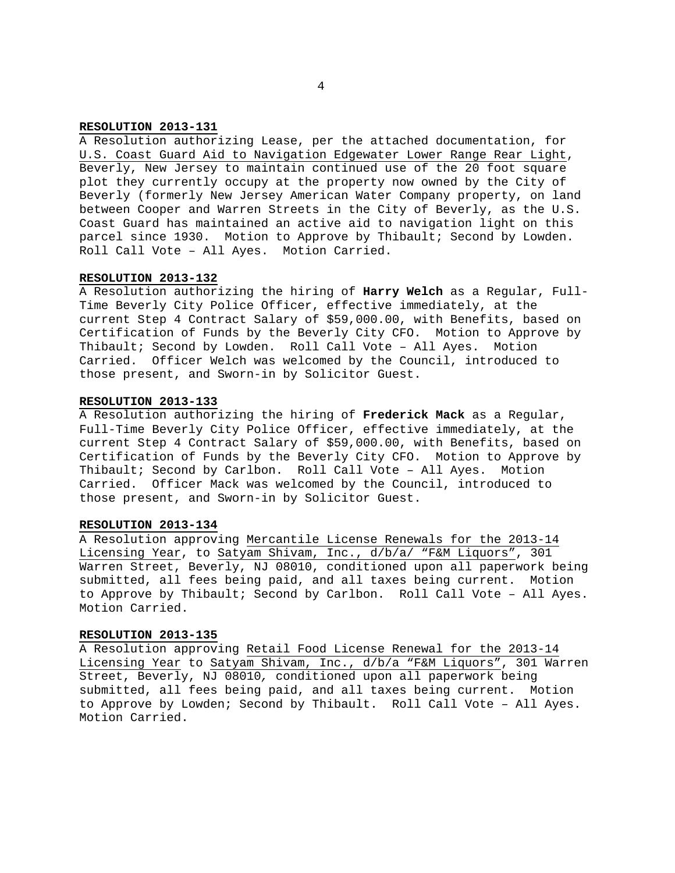# **RESOLUTION 2013-131**

A Resolution authorizing Lease, per the attached documentation, for U.S. Coast Guard Aid to Navigation Edgewater Lower Range Rear Light, Beverly, New Jersey to maintain continued use of the 20 foot square plot they currently occupy at the property now owned by the City of Beverly (formerly New Jersey American Water Company property, on land between Cooper and Warren Streets in the City of Beverly, as the U.S. Coast Guard has maintained an active aid to navigation light on this parcel since 1930. Motion to Approve by Thibault; Second by Lowden. Roll Call Vote – All Ayes. Motion Carried.

### **RESOLUTION 2013-132**

A Resolution authorizing the hiring of **Harry Welch** as a Regular, Full-Time Beverly City Police Officer, effective immediately, at the current Step 4 Contract Salary of \$59,000.00, with Benefits, based on Certification of Funds by the Beverly City CFO. Motion to Approve by Thibault; Second by Lowden. Roll Call Vote – All Ayes. Motion Carried. Officer Welch was welcomed by the Council, introduced to those present, and Sworn-in by Solicitor Guest.

#### **RESOLUTION 2013-133**

A Resolution authorizing the hiring of **Frederick Mack** as a Regular, Full-Time Beverly City Police Officer, effective immediately, at the current Step 4 Contract Salary of \$59,000.00, with Benefits, based on Certification of Funds by the Beverly City CFO. Motion to Approve by Thibault; Second by Carlbon. Roll Call Vote – All Ayes. Motion Carried. Officer Mack was welcomed by the Council, introduced to those present, and Sworn-in by Solicitor Guest.

# **RESOLUTION 2013-134**

A Resolution approving Mercantile License Renewals for the 2013-14 Licensing Year, to Satyam Shivam, Inc., d/b/a/ "F&M Liquors", 301 Warren Street, Beverly, NJ 08010, conditioned upon all paperwork being submitted, all fees being paid, and all taxes being current. Motion to Approve by Thibault; Second by Carlbon. Roll Call Vote – All Ayes. Motion Carried.

# **RESOLUTION 2013-135**

A Resolution approving Retail Food License Renewal for the 2013-14 Licensing Year to Satyam Shivam, Inc., d/b/a "F&M Liquors", 301 Warren Street, Beverly, NJ 08010*,* conditioned upon all paperwork being submitted, all fees being paid, and all taxes being current. Motion to Approve by Lowden; Second by Thibault. Roll Call Vote – All Ayes. Motion Carried.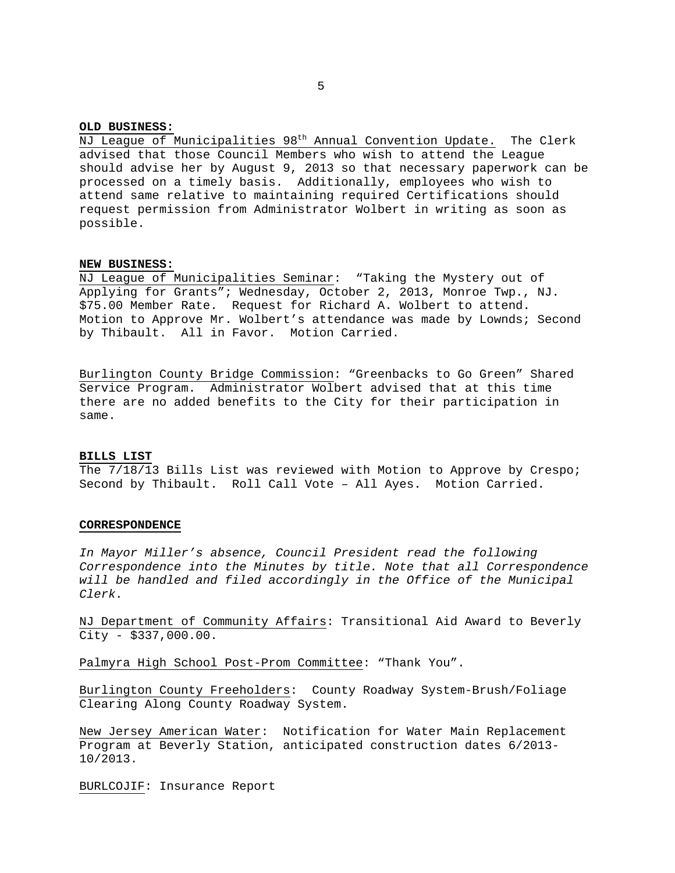#### **OLD BUSINESS:**

NJ League of Municipalities 98<sup>th</sup> Annual Convention Update. The Clerk advised that those Council Members who wish to attend the League should advise her by August 9, 2013 so that necessary paperwork can be processed on a timely basis. Additionally, employees who wish to attend same relative to maintaining required Certifications should request permission from Administrator Wolbert in writing as soon as possible.

### **NEW BUSINESS:**

NJ League of Municipalities Seminar: "Taking the Mystery out of Applying for Grants"; Wednesday, October 2, 2013, Monroe Twp., NJ. \$75.00 Member Rate. Request for Richard A. Wolbert to attend. Motion to Approve Mr. Wolbert's attendance was made by Lownds; Second by Thibault. All in Favor. Motion Carried.

Burlington County Bridge Commission: "Greenbacks to Go Green" Shared Service Program. Administrator Wolbert advised that at this time there are no added benefits to the City for their participation in same.

#### **BILLS LIST**

The 7/18/13 Bills List was reviewed with Motion to Approve by Crespo; Second by Thibault. Roll Call Vote – All Ayes. Motion Carried.

#### **CORRESPONDENCE**

*In Mayor Miller's absence, Council President read the following Correspondence into the Minutes by title. Note that all Correspondence will be handled and filed accordingly in the Office of the Municipal Clerk.* 

NJ Department of Community Affairs: Transitional Aid Award to Beverly City - \$337,000.00.

Palmyra High School Post-Prom Committee: "Thank You".

Burlington County Freeholders: County Roadway System-Brush/Foliage Clearing Along County Roadway System.

New Jersey American Water: Notification for Water Main Replacement Program at Beverly Station, anticipated construction dates 6/2013- 10/2013.

BURLCOJIF: Insurance Report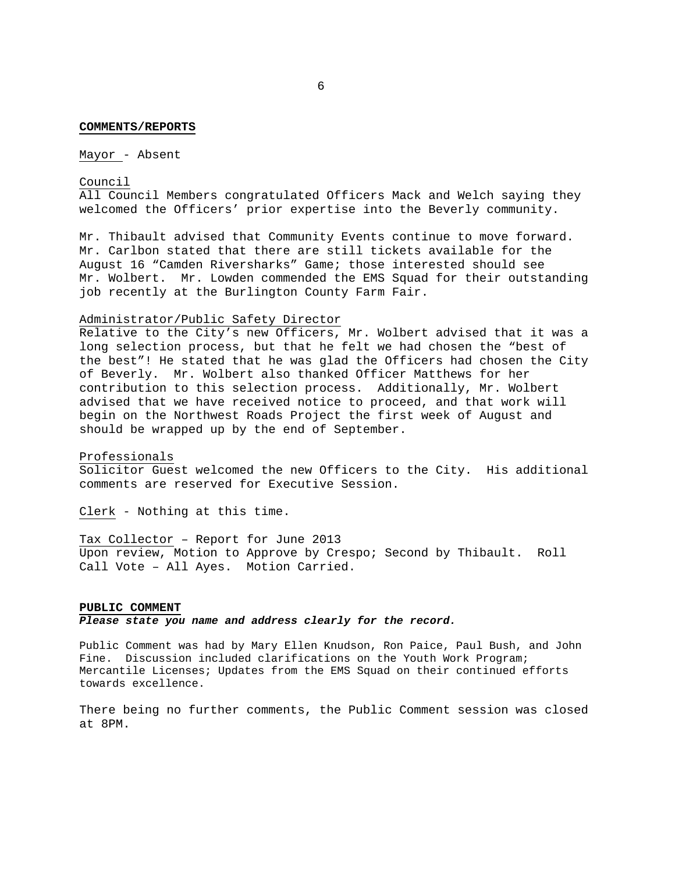#### **COMMENTS/REPORTS**

Mayor - Absent

#### Council

All Council Members congratulated Officers Mack and Welch saying they welcomed the Officers' prior expertise into the Beverly community.

Mr. Thibault advised that Community Events continue to move forward. Mr. Carlbon stated that there are still tickets available for the August 16 "Camden Riversharks" Game; those interested should see Mr. Wolbert. Mr. Lowden commended the EMS Squad for their outstanding job recently at the Burlington County Farm Fair.

# Administrator/Public Safety Director

Relative to the City's new Officers, Mr. Wolbert advised that it was a long selection process, but that he felt we had chosen the "best of the best"! He stated that he was glad the Officers had chosen the City of Beverly. Mr. Wolbert also thanked Officer Matthews for her contribution to this selection process. Additionally, Mr. Wolbert advised that we have received notice to proceed, and that work will begin on the Northwest Roads Project the first week of August and should be wrapped up by the end of September.

#### Professionals

Solicitor Guest welcomed the new Officers to the City. His additional comments are reserved for Executive Session.

Clerk - Nothing at this time.

Tax Collector – Report for June 2013 Upon review, Motion to Approve by Crespo; Second by Thibault. Roll Call Vote – All Ayes. Motion Carried.

#### **PUBLIC COMMENT**

*Please state you name and address clearly for the record.* 

Public Comment was had by Mary Ellen Knudson, Ron Paice, Paul Bush, and John Fine. Discussion included clarifications on the Youth Work Program; Mercantile Licenses; Updates from the EMS Squad on their continued efforts towards excellence.

There being no further comments, the Public Comment session was closed at 8PM.